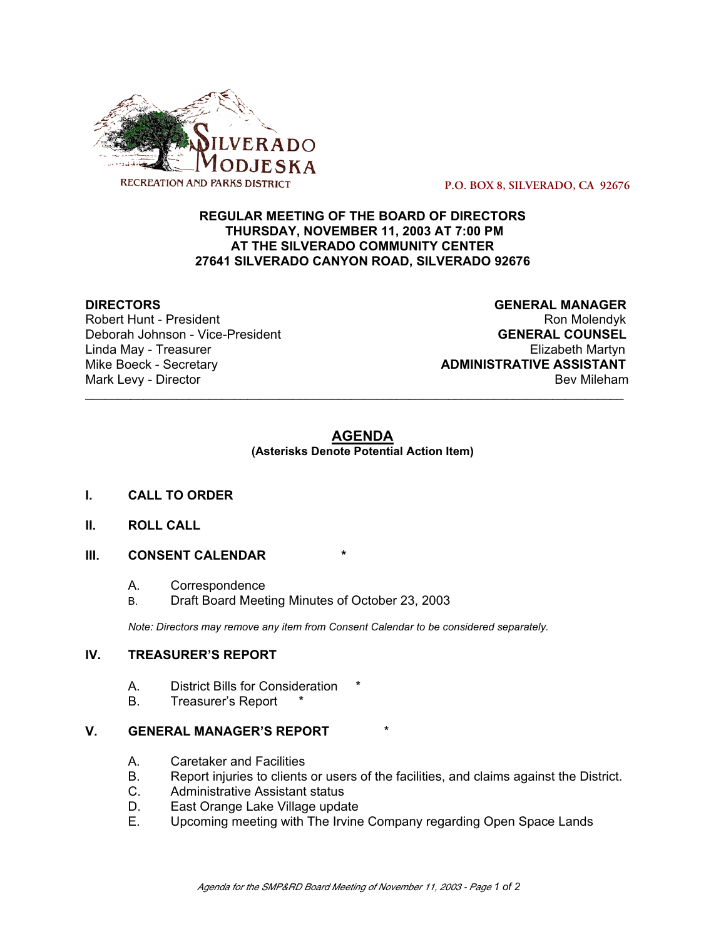

 **P.O. BOX 8, SILVERADO, CA 92676**

# **REGULAR MEETING OF THE BOARD OF DIRECTORS THURSDAY, NOVEMBER 11, 2003 AT 7:00 PM AT THE SILVERADO COMMUNITY CENTER 27641 SILVERADO CANYON ROAD, SILVERADO 92676**

Robert Hunt - President National Robert Hunt - President National Robert Australian Robert Hunt - President Na Deborah Johnson - Vice-President **GENERAL COUNSEL** Linda May - Treasurer Elizabeth Martyn Mike Boeck - Secretary **ADMINISTRATIVE ASSISTANT** Mark Levy - Director **Bev Mileham Mark Levy - Director** Bev Mileham

**DIRECTORS GENERAL MANAGER**

#### **AGENDA (Asterisks Denote Potential Action Item)**

\_\_\_\_\_\_\_\_\_\_\_\_\_\_\_\_\_\_\_\_\_\_\_\_\_\_\_\_\_\_\_\_\_\_\_\_\_\_\_\_\_\_\_\_\_\_\_\_\_\_\_\_\_\_\_\_\_\_\_\_\_\_\_\_\_\_\_\_\_\_\_\_\_\_\_\_\_\_\_\_\_\_\_

- **I. CALL TO ORDER**
- **II. ROLL CALL**
- **III. CONSENT CALENDAR** 
	- A. Correspondence
	- B. Draft Board Meeting Minutes of October 23, 2003

*Note: Directors may remove any item from Consent Calendar to be considered separately.*

#### **IV. TREASURER'S REPORT**

- A. District Bills for Consideration
- B. Treasurer's Report

# **V. GENERAL MANAGER'S REPORT**

- A. Caretaker and Facilities
- B. Report injuries to clients or users of the facilities, and claims against the District.
- C. Administrative Assistant status
- D. East Orange Lake Village update
- E. Upcoming meeting with The Irvine Company regarding Open Space Lands